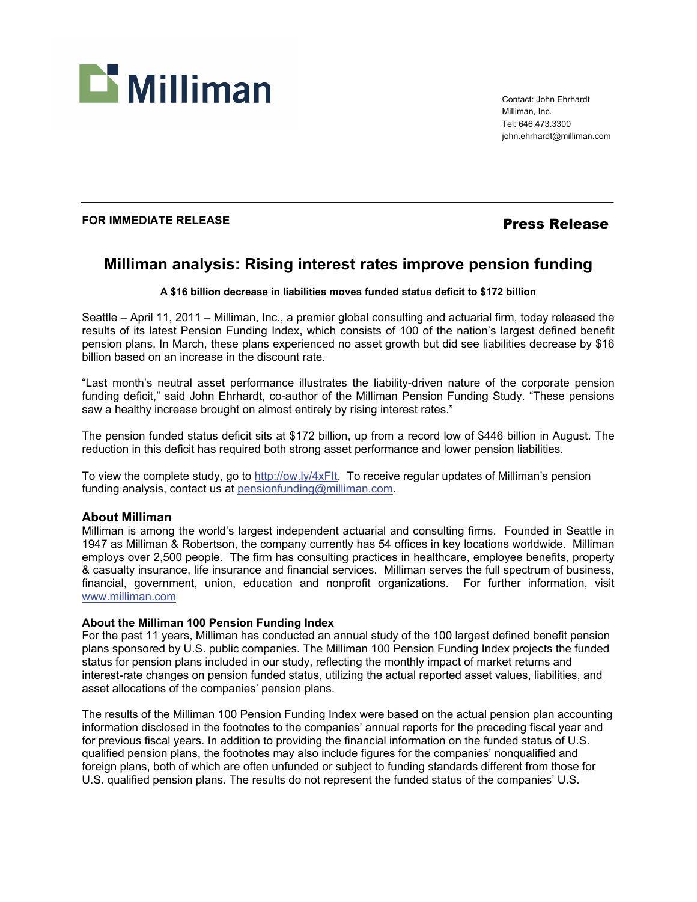

Contact: John Ehrhardt Milliman, Inc. Tel: 646.473.3300 john.ehrhardt@milliman.com

## **FOR IMMEDIATE RELEASE** *Press Release*

# **Milliman analysis: Rising interest rates improve pension funding**

#### **A \$16 billion decrease in liabilities moves funded status deficit to \$172 billion**

Seattle – April 11, 2011 – Milliman, Inc., a premier global consulting and actuarial firm, today released the results of its latest Pension Funding Index, which consists of 100 of the nation's largest defined benefit pension plans. In March, these plans experienced no asset growth but did see liabilities decrease by \$16 billion based on an increase in the discount rate.

"Last month's neutral asset performance illustrates the liability-driven nature of the corporate pension funding deficit," said John Ehrhardt, co-author of the Milliman Pension Funding Study. "These pensions saw a healthy increase brought on almost entirely by rising interest rates."

The pension funded status deficit sits at \$172 billion, up from a record low of \$446 billion in August. The reduction in this deficit has required both strong asset performance and lower pension liabilities.

To view the complete study, go to http://ow.ly/4xFlt. To receive regular updates of Milliman's pension funding analysis, contact us at pensionfunding@milliman.com.

### **About Milliman**

Milliman is among the world's largest independent actuarial and consulting firms. Founded in Seattle in 1947 as Milliman & Robertson, the company currently has 54 offices in key locations worldwide. Milliman employs over 2,500 people. The firm has consulting practices in healthcare, employee benefits, property & casualty insurance, life insurance and financial services. Milliman serves the full spectrum of business, financial, government, union, education and nonprofit organizations. For further information, visit www.milliman.com

#### **About the Milliman 100 Pension Funding Index**

For the past 11 years, Milliman has conducted an annual study of the 100 largest defined benefit pension plans sponsored by U.S. public companies. The Milliman 100 Pension Funding Index projects the funded status for pension plans included in our study, reflecting the monthly impact of market returns and interest-rate changes on pension funded status, utilizing the actual reported asset values, liabilities, and asset allocations of the companies' pension plans.

The results of the Milliman 100 Pension Funding Index were based on the actual pension plan accounting information disclosed in the footnotes to the companies' annual reports for the preceding fiscal year and for previous fiscal years. In addition to providing the financial information on the funded status of U.S. qualified pension plans, the footnotes may also include figures for the companies' nonqualified and foreign plans, both of which are often unfunded or subject to funding standards different from those for U.S. qualified pension plans. The results do not represent the funded status of the companies' U.S.